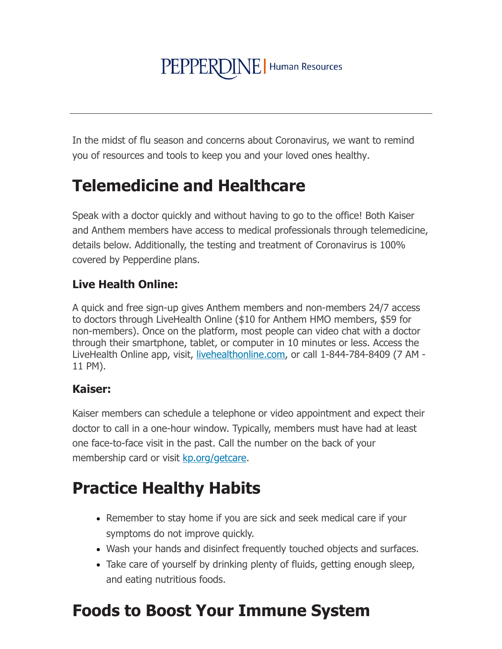# PEPPERDINE | Human Resources

In the midst of flu season and concerns about Coronavirus, we want to remind you of resources and tools to keep you and your loved ones healthy.

### **Telemedicine and Healthcare**

Speak with a doctor quickly and without having to go to the office! Both Kaiser and Anthem members have access to medical professionals through telemedicine, details below. Additionally, the testing and treatment of Coronavirus is 100% covered by Pepperdine plans.

### **Live Health Online:**

A quick and free sign-up gives Anthem members and non-members 24/7 access to doctors through LiveHealth Online (\$10 for Anthem HMO members, \$59 for non-members). Once on the platform, most people can video chat with a doctor through their smartphone, tablet, or computer in 10 minutes or less. Access the LiveHealth Online app, visit, livehealthonline.com, or call 1-844-784-8409 (7 AM -11 PM).

### **Kaiser:**

Kaiser members can schedule a telephone or video appointment and expect their doctor to call in a one-hour window. Typically, members must have had at least one face-to-face visit in the past. Call the number on the back of your membership card or visit kp.org/getcare.

# **Practice Healthy Habits**

- Remember to stay home if you are sick and seek medical care if your symptoms do not improve quickly.
- Wash your hands and disinfect frequently touched objects and surfaces.
- Take care of yourself by drinking plenty of fluids, getting enough sleep, and eating nutritious foods.

# **Foods to Boost Your Immune System**